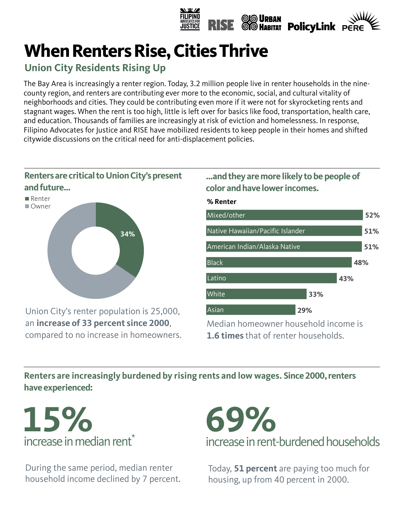

# **When Renters Rise, Cities Thrive**

# **Union City Residents Rising Up**

The Bay Area is increasingly a renter region. Today, 3.2 million people live in renter households in the ninecounty region, and renters are contributing ever more to the economic, social, and cultural vitality of neighborhoods and cities. They could be contributing even more if it were not for skyrocketing rents and stagnant wages. When the rent is too high, little is left over for basics like food, transportation, health care, and education. Thousands of families are increasingly at risk of eviction and homelessness. In response, Filipino Advocates for Justice and RISE have mobilized residents to keep people in their homes and shifted citywide discussions on the critical need for anti-displacement policies.



Union City's renter population is 25,000, an **increase of 33 percent since 2000**, compared to no increase in homeowners.

## **…and they are more likely to be people of color and have lower incomes.**



**Renters are increasingly burdened by rising rents and low wages. Since 2000, renters 48% have experienced:**



During the same period, median renter household income declined by 7 percent.



Today, **51 percent** are paying too much for housing, up from 40 percent in 2000.